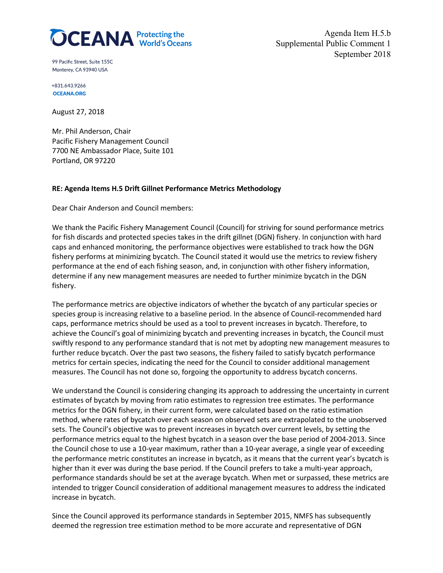

Agenda Item H.5.b Supplemental Public Comment 1 September 2018

99 Pacific Street. Suite 155C Monterey, CA 93940 USA

+831.643.9266 **OCEANA.ORG** 

August 27, 2018

Mr. Phil Anderson, Chair Pacific Fishery Management Council 7700 NE Ambassador Place, Suite 101 Portland, OR 97220

## **RE: Agenda Items H.5 Drift Gillnet Performance Metrics Methodology**

Dear Chair Anderson and Council members:

We thank the Pacific Fishery Management Council (Council) for striving for sound performance metrics for fish discards and protected species takes in the drift gillnet (DGN) fishery. In conjunction with hard caps and enhanced monitoring, the performance objectives were established to track how the DGN fishery performs at minimizing bycatch. The Council stated it would use the metrics to review fishery performance at the end of each fishing season, and, in conjunction with other fishery information, determine if any new management measures are needed to further minimize bycatch in the DGN fishery.

The performance metrics are objective indicators of whether the bycatch of any particular species or species group is increasing relative to a baseline period. In the absence of Council-recommended hard caps, performance metrics should be used as a tool to prevent increases in bycatch. Therefore, to achieve the Council's goal of minimizing bycatch and preventing increases in bycatch, the Council must swiftly respond to any performance standard that is not met by adopting new management measures to further reduce bycatch. Over the past two seasons, the fishery failed to satisfy bycatch performance metrics for certain species, indicating the need for the Council to consider additional management measures. The Council has not done so, forgoing the opportunity to address bycatch concerns.

We understand the Council is considering changing its approach to addressing the uncertainty in current estimates of bycatch by moving from ratio estimates to regression tree estimates. The performance metrics for the DGN fishery, in their current form, were calculated based on the ratio estimation method, where rates of bycatch over each season on observed sets are extrapolated to the unobserved sets. The Council's objective was to prevent increases in bycatch over current levels, by setting the performance metrics equal to the highest bycatch in a season over the base period of 2004-2013. Since the Council chose to use a 10-year maximum, rather than a 10-year average, a single year of exceeding the performance metric constitutes an increase in bycatch, as it means that the current year's bycatch is higher than it ever was during the base period. If the Council prefers to take a multi-year approach, performance standards should be set at the average bycatch. When met or surpassed, these metrics are intended to trigger Council consideration of additional management measures to address the indicated increase in bycatch.

Since the Council approved its performance standards in September 2015, NMFS has subsequently deemed the regression tree estimation method to be more accurate and representative of DGN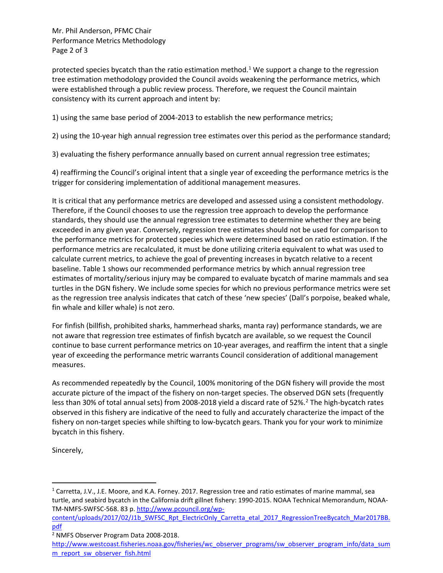Mr. Phil Anderson, PFMC Chair Performance Metrics Methodology Page 2 of 3

protected species bycatch than the ratio estimation method.<sup>[1](#page-1-0)</sup> We support a change to the regression tree estimation methodology provided the Council avoids weakening the performance metrics, which were established through a public review process. Therefore, we request the Council maintain consistency with its current approach and intent by:

1) using the same base period of 2004-2013 to establish the new performance metrics;

2) using the 10-year high annual regression tree estimates over this period as the performance standard;

3) evaluating the fishery performance annually based on current annual regression tree estimates;

4) reaffirming the Council's original intent that a single year of exceeding the performance metrics is the trigger for considering implementation of additional management measures.

It is critical that any performance metrics are developed and assessed using a consistent methodology. Therefore, if the Council chooses to use the regression tree approach to develop the performance standards, they should use the annual regression tree estimates to determine whether they are being exceeded in any given year. Conversely, regression tree estimates should not be used for comparison to the performance metrics for protected species which were determined based on ratio estimation. If the performance metrics are recalculated, it must be done utilizing criteria equivalent to what was used to calculate current metrics, to achieve the goal of preventing increases in bycatch relative to a recent baseline. Table 1 shows our recommended performance metrics by which annual regression tree estimates of mortality/serious injury may be compared to evaluate bycatch of marine mammals and sea turtles in the DGN fishery. We include some species for which no previous performance metrics were set as the regression tree analysis indicates that catch of these 'new species' (Dall's porpoise, beaked whale, fin whale and killer whale) is not zero.

For finfish (billfish, prohibited sharks, hammerhead sharks, manta ray) performance standards, we are not aware that regression tree estimates of finfish bycatch are available, so we request the Council continue to base current performance metrics on 10-year averages, and reaffirm the intent that a single year of exceeding the performance metric warrants Council consideration of additional management measures.

As recommended repeatedly by the Council, 100% monitoring of the DGN fishery will provide the most accurate picture of the impact of the fishery on non-target species. The observed DGN sets (frequently less than 30% of total annual sets) from [2](#page-1-1)008-2018 yield a discard rate of 52%.<sup>2</sup> The high-bycatch rates observed in this fishery are indicative of the need to fully and accurately characterize the impact of the fishery on non-target species while shifting to low-bycatch gears. Thank you for your work to minimize bycatch in this fishery.

Sincerely,

<span id="page-1-0"></span> <sup>1</sup> Carretta, J.V., J.E. Moore, and K.A. Forney. 2017. Regression tree and ratio estimates of marine mammal, sea turtle, and seabird bycatch in the California drift gillnet fishery: 1990-2015. NOAA Technical Memorandum, NOAA-TM-NMFS-SWFSC-568. 83 p. [http://www.pcouncil.org/wp-](http://www.pcouncil.org/wp-content/uploads/2017/02/J1b_SWFSC_Rpt_ElectricOnly_Carretta_etal_2017_RegressionTreeBycatch_Mar2017BB.pdf)

[content/uploads/2017/02/J1b\\_SWFSC\\_Rpt\\_ElectricOnly\\_Carretta\\_etal\\_2017\\_RegressionTreeBycatch\\_Mar2017BB.](http://www.pcouncil.org/wp-content/uploads/2017/02/J1b_SWFSC_Rpt_ElectricOnly_Carretta_etal_2017_RegressionTreeBycatch_Mar2017BB.pdf) [pdf](http://www.pcouncil.org/wp-content/uploads/2017/02/J1b_SWFSC_Rpt_ElectricOnly_Carretta_etal_2017_RegressionTreeBycatch_Mar2017BB.pdf)

<span id="page-1-1"></span><sup>2</sup> NMFS Observer Program Data 2008-2018.

[http://www.westcoast.fisheries.noaa.gov/fisheries/wc\\_observer\\_programs/sw\\_observer\\_program\\_info/data\\_sum](http://www.westcoast.fisheries.noaa.gov/fisheries/wc_observer_programs/sw_observer_program_info/data_summ_report_sw_observer_fish.html) [m\\_report\\_sw\\_observer\\_fish.html](http://www.westcoast.fisheries.noaa.gov/fisheries/wc_observer_programs/sw_observer_program_info/data_summ_report_sw_observer_fish.html)